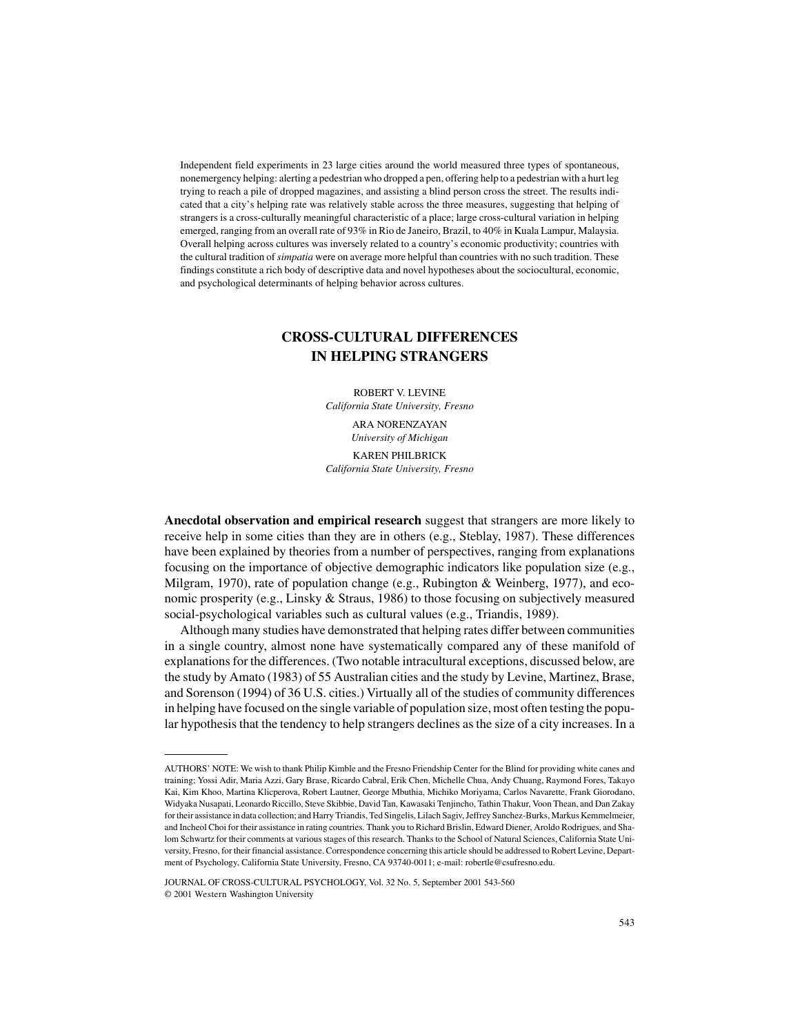Independent field experiments in 23 large cities around the world measured three types of spontaneous, nonemergency helping: alerting a pedestrian who dropped a pen, offering help to a pedestrian with a hurt leg trying to reach a pile of dropped magazines, and assisting a blind person cross the street. The results indicated that a city's helping rate was relatively stable across the three measures, suggesting that helping of strangers is a cross-culturally meaningful characteristic of a place; large cross-cultural variation in helping emerged, ranging from an overall rate of 93% in Rio de Janeiro, Brazil, to 40% in Kuala Lampur, Malaysia. Overall helping across cultures was inversely related to a country's economic productivity; countries with the cultural tradition of *simpatia* were on average more helpful than countries with no such tradition. These findings constitute a rich body of descriptive data and novel hypotheses about the sociocultural, economic, and psychological determinants of helping behavior across cultures.

# **CROSS-CULTURAL DIFFERENCES IN HELPING STRANGERS**

ROBERT V. LEVINE *California State University, Fresno*

> ARA NORENZAYAN *University of Michigan*

KAREN PHILBRICK *California State University, Fresno*

**Anecdotal observation and empirical research** suggest that strangers are more likely to receive help in some cities than they are in others (e.g., Steblay, 1987). These differences have been explained by theories from a number of perspectives, ranging from explanations focusing on the importance of objective demographic indicators like population size (e.g., Milgram, 1970), rate of population change (e.g., Rubington & Weinberg, 1977), and economic prosperity (e.g., Linsky & Straus, 1986) to those focusing on subjectively measured social-psychological variables such as cultural values (e.g., Triandis, 1989).

Although many studies have demonstrated that helping rates differ between communities in a single country, almost none have systematically compared any of these manifold of explanations for the differences. (Two notable intracultural exceptions, discussed below, are the study by Amato (1983) of 55 Australian cities and the study by Levine, Martinez, Brase, and Sorenson (1994) of 36 U.S. cities.) Virtually all of the studies of community differences in helping have focused on the single variable of population size, most often testing the popular hypothesis that the tendency to help strangers declines as the size of a city increases. In a

AUTHORS' NOTE: We wish to thank Philip Kimble and the Fresno Friendship Center for the Blind for providing white canes and training; Yossi Adir, Maria Azzi, Gary Brase, Ricardo Cabral, Erik Chen, Michelle Chua, Andy Chuang, Raymond Fores, Takayo Kai, Kim Khoo, Martina Klicperova, Robert Lautner, George Mbuthia, Michiko Moriyama, Carlos Navarette, Frank Giorodano, Widyaka Nusapati, Leonardo Riccillo, Steve Skibbie, David Tan, Kawasaki Tenjincho, Tathin Thakur, Voon Thean, and Dan Zakay for their assistance in data collection; and Harry Triandis, Ted Singelis, Lilach Sagiv, Jeffrey Sanchez-Burks, Markus Kemmelmeier, and Incheol Choi for their assistance in rating countries. Thank you to Richard Brislin, Edward Diener, Aroldo Rodrigues, and Shalom Schwartz for their comments at various stages of this research. Thanks to the School of Natural Sciences, California State University, Fresno, for their financial assistance. Correspondence concerning this article should be addressed to Robert Levine, Department of Psychology, California State University, Fresno, CA 93740-0011; e-mail: robertle@csufresno.edu.

JOURNAL OF CROSS-CULTURAL PSYCHOLOGY, Vol. 32 No. 5, September 2001 543-560 © 2001 Western Washington University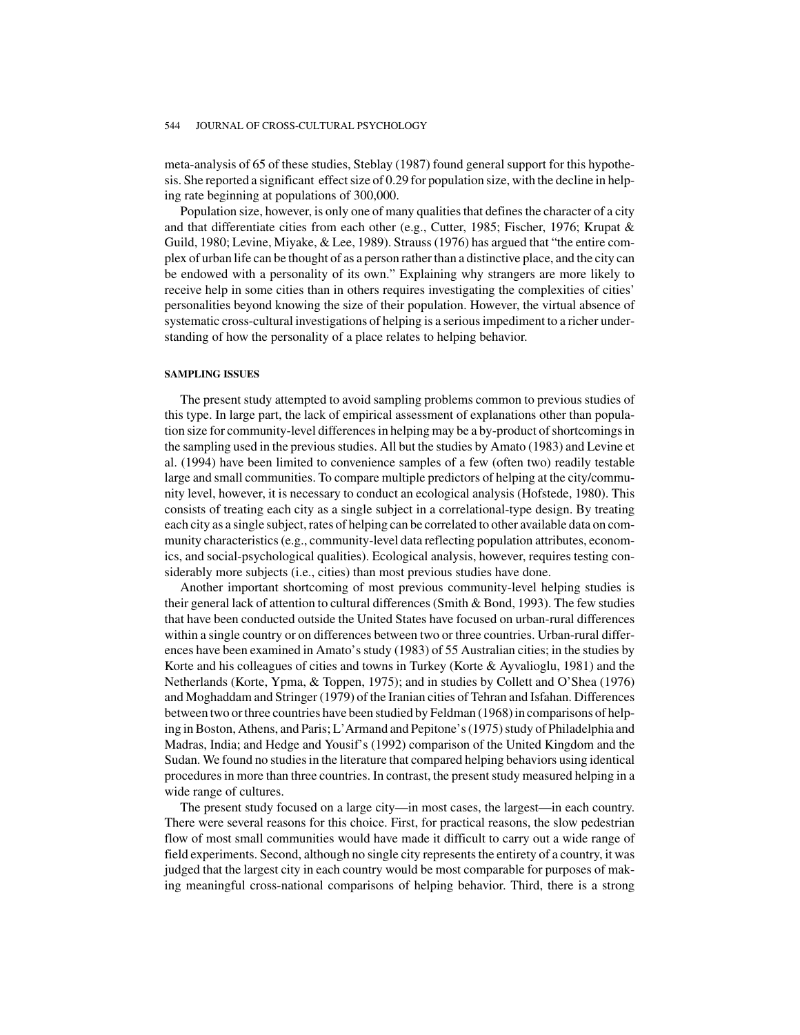meta-analysis of 65 of these studies, Steblay (1987) found general support for this hypothesis. She reported a significant effect size of 0.29 for population size, with the decline in helping rate beginning at populations of 300,000.

Population size, however, is only one of many qualities that defines the character of a city and that differentiate cities from each other (e.g., Cutter, 1985; Fischer, 1976; Krupat & Guild, 1980; Levine, Miyake, & Lee, 1989). Strauss (1976) has argued that "the entire complex of urban life can be thought of as a person rather than a distinctive place, and the city can be endowed with a personality of its own." Explaining why strangers are more likely to receive help in some cities than in others requires investigating the complexities of cities' personalities beyond knowing the size of their population. However, the virtual absence of systematic cross-cultural investigations of helping is a serious impediment to a richer understanding of how the personality of a place relates to helping behavior.

## **SAMPLING ISSUES**

The present study attempted to avoid sampling problems common to previous studies of this type. In large part, the lack of empirical assessment of explanations other than population size for community-level differences in helping may be a by-product of shortcomings in the sampling used in the previous studies. All but the studies by Amato (1983) and Levine et al. (1994) have been limited to convenience samples of a few (often two) readily testable large and small communities. To compare multiple predictors of helping at the city/community level, however, it is necessary to conduct an ecological analysis (Hofstede, 1980). This consists of treating each city as a single subject in a correlational-type design. By treating each city as a single subject, rates of helping can be correlated to other available data on community characteristics (e.g., community-level data reflecting population attributes, economics, and social-psychological qualities). Ecological analysis, however, requires testing considerably more subjects (i.e., cities) than most previous studies have done.

Another important shortcoming of most previous community-level helping studies is their general lack of attention to cultural differences (Smith  $\&$  Bond, 1993). The few studies that have been conducted outside the United States have focused on urban-rural differences within a single country or on differences between two or three countries. Urban-rural differences have been examined in Amato's study (1983) of 55 Australian cities; in the studies by Korte and his colleagues of cities and towns in Turkey (Korte & Ayvalioglu, 1981) and the Netherlands (Korte, Ypma, & Toppen, 1975); and in studies by Collett and O'Shea (1976) and Moghaddam and Stringer (1979) of the Iranian cities of Tehran and Isfahan. Differences between two or three countries have been studied by Feldman (1968) in comparisons of helping in Boston, Athens, and Paris; L'Armand and Pepitone's (1975) study of Philadelphia and Madras, India; and Hedge and Yousif's (1992) comparison of the United Kingdom and the Sudan. We found no studies in the literature that compared helping behaviors using identical procedures in more than three countries. In contrast, the present study measured helping in a wide range of cultures.

The present study focused on a large city—in most cases, the largest—in each country. There were several reasons for this choice. First, for practical reasons, the slow pedestrian flow of most small communities would have made it difficult to carry out a wide range of field experiments. Second, although no single city represents the entirety of a country, it was judged that the largest city in each country would be most comparable for purposes of making meaningful cross-national comparisons of helping behavior. Third, there is a strong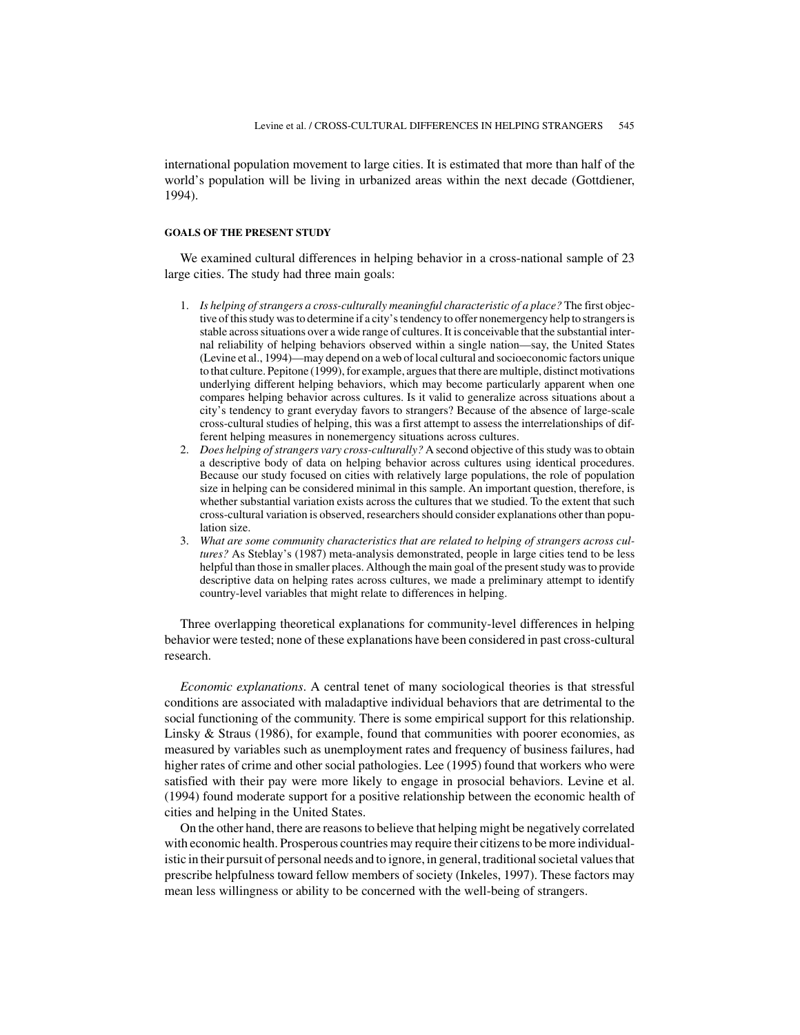international population movement to large cities. It is estimated that more than half of the world's population will be living in urbanized areas within the next decade (Gottdiener, 1994).

### **GOALS OF THE PRESENT STUDY**

We examined cultural differences in helping behavior in a cross-national sample of 23 large cities. The study had three main goals:

- 1. *Is helping of strangers a cross-culturally meaningful characteristic of a place?* The first objective of this study was to determine if a city's tendency to offer nonemergency help to strangers is stable across situations over a wide range of cultures. It is conceivable that the substantial internal reliability of helping behaviors observed within a single nation—say, the United States (Levine et al., 1994)—may depend on a web of local cultural and socioeconomic factors unique to that culture. Pepitone (1999), for example, argues that there are multiple, distinct motivations underlying different helping behaviors, which may become particularly apparent when one compares helping behavior across cultures. Is it valid to generalize across situations about a city's tendency to grant everyday favors to strangers? Because of the absence of large-scale cross-cultural studies of helping, this was a first attempt to assess the interrelationships of different helping measures in nonemergency situations across cultures.
- 2. *Does helping of strangers vary cross-culturally?* A second objective of this study was to obtain a descriptive body of data on helping behavior across cultures using identical procedures. Because our study focused on cities with relatively large populations, the role of population size in helping can be considered minimal in this sample. An important question, therefore, is whether substantial variation exists across the cultures that we studied. To the extent that such cross-cultural variation is observed, researchers should consider explanations other than population size.
- 3. *What are some community characteristics that are related to helping of strangers across cultures?* As Steblay's (1987) meta-analysis demonstrated, people in large cities tend to be less helpful than those in smaller places. Although the main goal of the present study was to provide descriptive data on helping rates across cultures, we made a preliminary attempt to identify country-level variables that might relate to differences in helping.

Three overlapping theoretical explanations for community-level differences in helping behavior were tested; none of these explanations have been considered in past cross-cultural research.

*Economic explanations*. A central tenet of many sociological theories is that stressful conditions are associated with maladaptive individual behaviors that are detrimental to the social functioning of the community. There is some empirical support for this relationship. Linsky & Straus (1986), for example, found that communities with poorer economies, as measured by variables such as unemployment rates and frequency of business failures, had higher rates of crime and other social pathologies. Lee (1995) found that workers who were satisfied with their pay were more likely to engage in prosocial behaviors. Levine et al. (1994) found moderate support for a positive relationship between the economic health of cities and helping in the United States.

On the other hand, there are reasons to believe that helping might be negatively correlated with economic health. Prosperous countries may require their citizens to be more individualistic in their pursuit of personal needs and to ignore, in general, traditional societal values that prescribe helpfulness toward fellow members of society (Inkeles, 1997). These factors may mean less willingness or ability to be concerned with the well-being of strangers.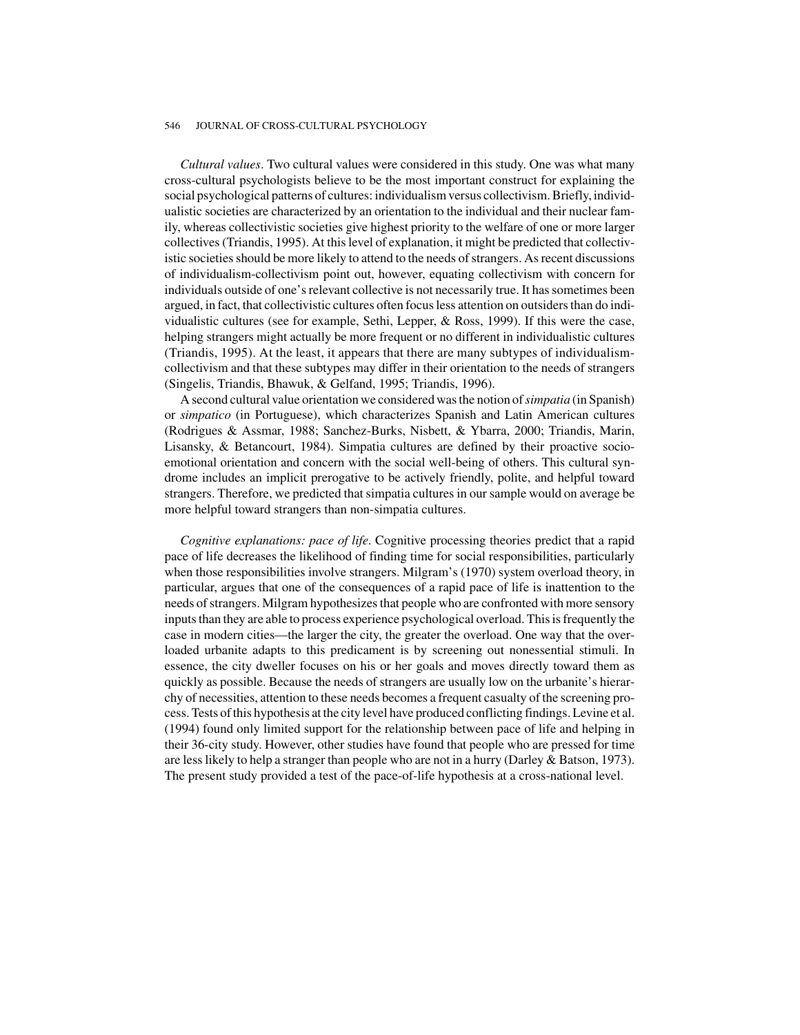*Cultural values*. Two cultural values were considered in this study. One was what many cross-cultural psychologists believe to be the most important construct for explaining the social psychological patterns of cultures: individualism versus collectivism. Briefly, individualistic societies are characterized by an orientation to the individual and their nuclear family, whereas collectivistic societies give highest priority to the welfare of one or more larger collectives (Triandis, 1995). At this level of explanation, it might be predicted that collectivistic societies should be more likely to attend to the needs of strangers. As recent discussions of individualism-collectivism point out, however, equating collectivism with concern for individuals outside of one's relevant collective is not necessarily true. It has sometimes been argued, in fact, that collectivistic cultures often focus less attention on outsiders than do individualistic cultures (see for example, Sethi, Lepper, & Ross, 1999). If this were the case, helping strangers might actually be more frequent or no different in individualistic cultures (Triandis, 1995). At the least, it appears that there are many subtypes of individualismcollectivism and that these subtypes may differ in their orientation to the needs of strangers (Singelis, Triandis, Bhawuk, & Gelfand, 1995; Triandis, 1996).

A second cultural value orientation we considered was the notion of*simpatia* (in Spanish) or *simpatico* (in Portuguese), which characterizes Spanish and Latin American cultures (Rodrigues & Assmar, 1988; Sanchez-Burks, Nisbett, & Ybarra, 2000; Triandis, Marin, Lisansky, & Betancourt, 1984). Simpatia cultures are defined by their proactive socioemotional orientation and concern with the social well-being of others. This cultural syndrome includes an implicit prerogative to be actively friendly, polite, and helpful toward strangers. Therefore, we predicted that simpatia cultures in our sample would on average be more helpful toward strangers than non-simpatia cultures.

*Cognitive explanations: pace of life*. Cognitive processing theories predict that a rapid pace of life decreases the likelihood of finding time for social responsibilities, particularly when those responsibilities involve strangers. Milgram's (1970) system overload theory, in particular, argues that one of the consequences of a rapid pace of life is inattention to the needs of strangers. Milgram hypothesizes that people who are confronted with more sensory inputs than they are able to process experience psychological overload. This is frequently the case in modern cities—the larger the city, the greater the overload. One way that the overloaded urbanite adapts to this predicament is by screening out nonessential stimuli. In essence, the city dweller focuses on his or her goals and moves directly toward them as quickly as possible. Because the needs of strangers are usually low on the urbanite's hierarchy of necessities, attention to these needs becomes a frequent casualty of the screening process. Tests of this hypothesis at the city level have produced conflicting findings. Levine et al. (1994) found only limited support for the relationship between pace of life and helping in their 36-city study. However, other studies have found that people who are pressed for time are less likely to help a stranger than people who are not in a hurry (Darley & Batson, 1973). The present study provided a test of the pace-of-life hypothesis at a cross-national level.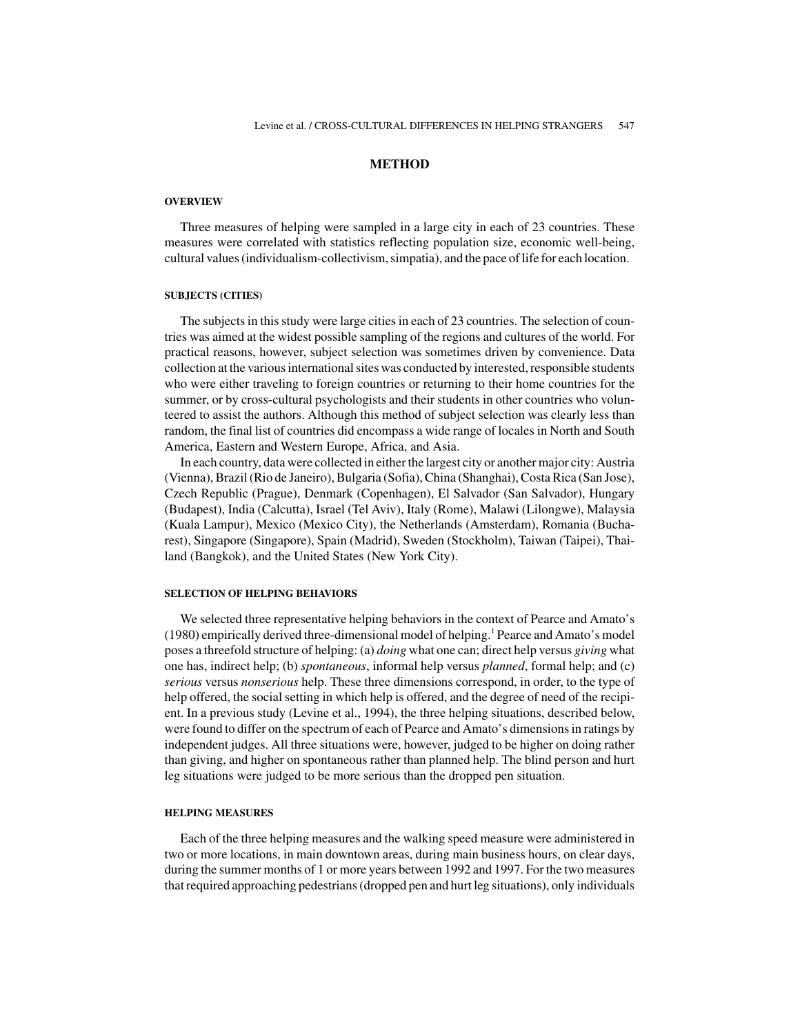## **METHOD**

### **OVERVIEW**

Three measures of helping were sampled in a large city in each of 23 countries. These measures were correlated with statistics reflecting population size, economic well-being, cultural values (individualism-collectivism, simpatia), and the pace of life for each location.

# **SUBJECTS (CITIES)**

The subjects in this study were large cities in each of 23 countries. The selection of countries was aimed at the widest possible sampling of the regions and cultures of the world. For practical reasons, however, subject selection was sometimes driven by convenience. Data collection at the various international sites was conducted by interested, responsible students who were either traveling to foreign countries or returning to their home countries for the summer, or by cross-cultural psychologists and their students in other countries who volunteered to assist the authors. Although this method of subject selection was clearly less than random, the final list of countries did encompass a wide range of locales in North and South America, Eastern and Western Europe, Africa, and Asia.

In each country, data were collected in either the largest city or another major city: Austria (Vienna), Brazil (Rio de Janeiro), Bulgaria (Sofia), China (Shanghai), Costa Rica (San Jose), Czech Republic (Prague), Denmark (Copenhagen), El Salvador (San Salvador), Hungary (Budapest), India (Calcutta), Israel (Tel Aviv), Italy (Rome), Malawi (Lilongwe), Malaysia (Kuala Lampur), Mexico (Mexico City), the Netherlands (Amsterdam), Romania (Bucharest), Singapore (Singapore), Spain (Madrid), Sweden (Stockholm), Taiwan (Taipei), Thailand (Bangkok), and the United States (New York City).

### **SELECTION OF HELPING BEHAVIORS**

We selected three representative helping behaviors in the context of Pearce and Amato's  $(1980)$  empirically derived three-dimensional model of helping.<sup>1</sup> Pearce and Amato's model poses a threefold structure of helping: (a) *doing* what one can; direct help versus *giving* what one has, indirect help; (b) *spontaneous*, informal help versus *planned*, formal help; and (c) *serious* versus *nonserious* help. These three dimensions correspond, in order, to the type of help offered, the social setting in which help is offered, and the degree of need of the recipient. In a previous study (Levine et al., 1994), the three helping situations, described below, were found to differ on the spectrum of each of Pearce and Amato's dimensions in ratings by independent judges. All three situations were, however, judged to be higher on doing rather than giving, and higher on spontaneous rather than planned help. The blind person and hurt leg situations were judged to be more serious than the dropped pen situation.

### **HELPING MEASURES**

Each of the three helping measures and the walking speed measure were administered in two or more locations, in main downtown areas, during main business hours, on clear days, during the summer months of 1 or more years between 1992 and 1997. For the two measures that required approaching pedestrians (dropped pen and hurt leg situations), only individuals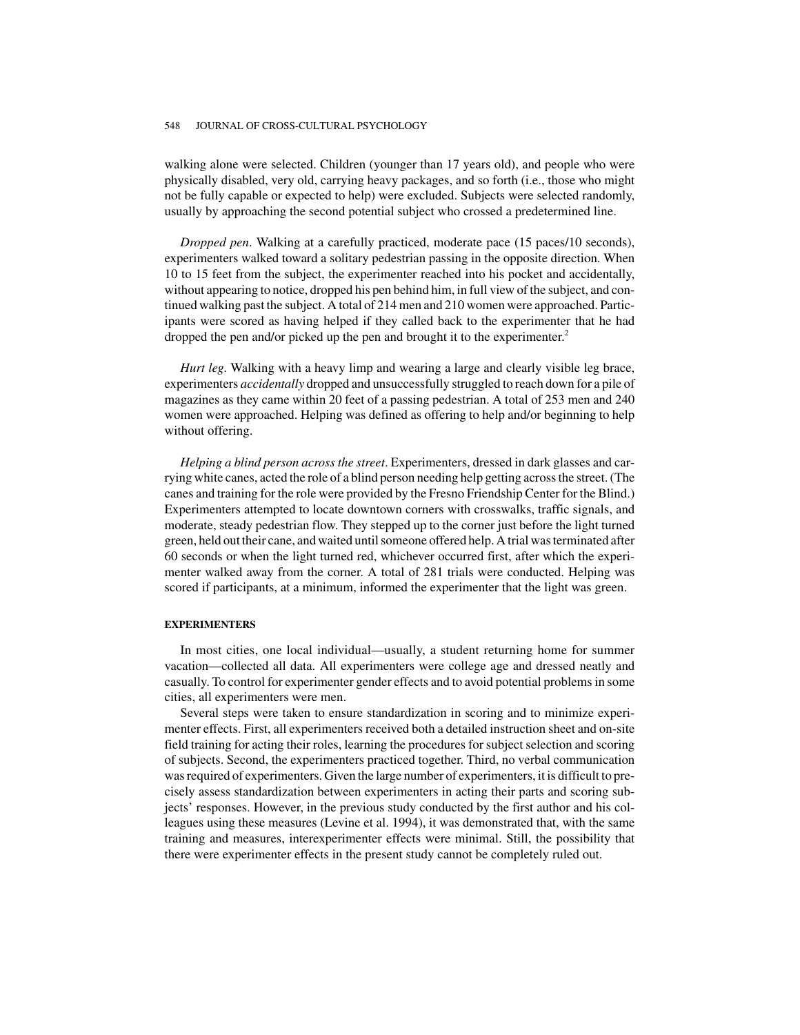walking alone were selected. Children (younger than 17 years old), and people who were physically disabled, very old, carrying heavy packages, and so forth (i.e., those who might not be fully capable or expected to help) were excluded. Subjects were selected randomly, usually by approaching the second potential subject who crossed a predetermined line.

*Dropped pen*. Walking at a carefully practiced, moderate pace (15 paces/10 seconds), experimenters walked toward a solitary pedestrian passing in the opposite direction. When 10 to 15 feet from the subject, the experimenter reached into his pocket and accidentally, without appearing to notice, dropped his pen behind him, in full view of the subject, and continued walking past the subject. A total of 214 men and 210 women were approached. Participants were scored as having helped if they called back to the experimenter that he had dropped the pen and/or picked up the pen and brought it to the experimenter.<sup>2</sup>

*Hurt leg*. Walking with a heavy limp and wearing a large and clearly visible leg brace, experimenters *accidentally* dropped and unsuccessfully struggled to reach down for a pile of magazines as they came within 20 feet of a passing pedestrian. A total of 253 men and 240 women were approached. Helping was defined as offering to help and/or beginning to help without offering.

*Helping a blind person across the street*. Experimenters, dressed in dark glasses and carrying white canes, acted the role of a blind person needing help getting across the street. (The canes and training for the role were provided by the Fresno Friendship Center for the Blind.) Experimenters attempted to locate downtown corners with crosswalks, traffic signals, and moderate, steady pedestrian flow. They stepped up to the corner just before the light turned green, held out their cane, and waited until someone offered help. A trial was terminated after 60 seconds or when the light turned red, whichever occurred first, after which the experimenter walked away from the corner. A total of 281 trials were conducted. Helping was scored if participants, at a minimum, informed the experimenter that the light was green.

### **EXPERIMENTERS**

In most cities, one local individual—usually, a student returning home for summer vacation—collected all data. All experimenters were college age and dressed neatly and casually. To control for experimenter gender effects and to avoid potential problems in some cities, all experimenters were men.

Several steps were taken to ensure standardization in scoring and to minimize experimenter effects. First, all experimenters received both a detailed instruction sheet and on-site field training for acting their roles, learning the procedures for subject selection and scoring of subjects. Second, the experimenters practiced together. Third, no verbal communication was required of experimenters. Given the large number of experimenters, it is difficult to precisely assess standardization between experimenters in acting their parts and scoring subjects' responses. However, in the previous study conducted by the first author and his colleagues using these measures (Levine et al. 1994), it was demonstrated that, with the same training and measures, interexperimenter effects were minimal. Still, the possibility that there were experimenter effects in the present study cannot be completely ruled out.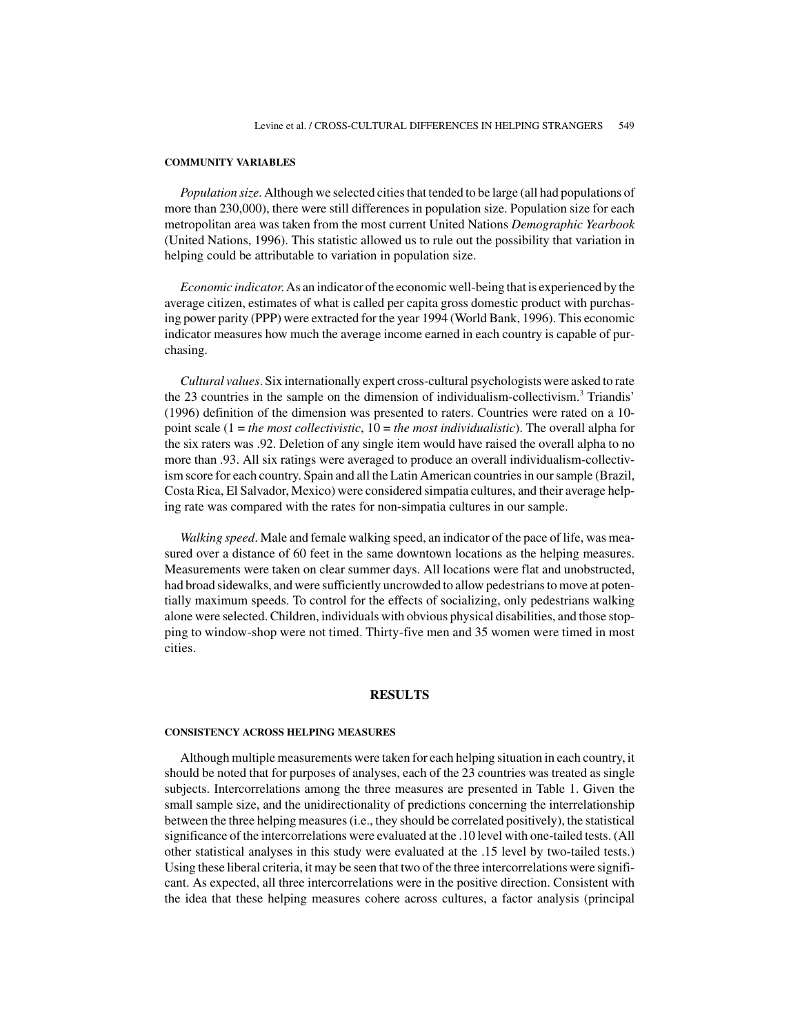#### **COMMUNITY VARIABLES**

*Population size*. Although we selected cities that tended to be large (all had populations of more than 230,000), there were still differences in population size. Population size for each metropolitan area was taken from the most current United Nations *Demographic Yearbook* (United Nations, 1996). This statistic allowed us to rule out the possibility that variation in helping could be attributable to variation in population size.

*Economic indicator*. As an indicator of the economic well-being that is experienced by the average citizen, estimates of what is called per capita gross domestic product with purchasing power parity (PPP) were extracted for the year 1994 (World Bank, 1996). This economic indicator measures how much the average income earned in each country is capable of purchasing.

*Cultural values*. Six internationally expert cross-cultural psychologists were asked to rate the 23 countries in the sample on the dimension of individualism-collectivism.<sup>3</sup> Triandis' (1996) definition of the dimension was presented to raters. Countries were rated on a 10 point scale (1 = *the most collectivistic*, 10 = *the most individualistic*). The overall alpha for the six raters was .92. Deletion of any single item would have raised the overall alpha to no more than .93. All six ratings were averaged to produce an overall individualism-collectivism score for each country. Spain and all the Latin American countries in our sample (Brazil, Costa Rica, El Salvador, Mexico) were considered simpatia cultures, and their average helping rate was compared with the rates for non-simpatia cultures in our sample.

*Walking speed*. Male and female walking speed, an indicator of the pace of life, was measured over a distance of 60 feet in the same downtown locations as the helping measures. Measurements were taken on clear summer days. All locations were flat and unobstructed, had broad sidewalks, and were sufficiently uncrowded to allow pedestrians to move at potentially maximum speeds. To control for the effects of socializing, only pedestrians walking alone were selected. Children, individuals with obvious physical disabilities, and those stopping to window-shop were not timed. Thirty-five men and 35 women were timed in most cities.

# **RESULTS**

# **CONSISTENCY ACROSS HELPING MEASURES**

Although multiple measurements were taken for each helping situation in each country, it should be noted that for purposes of analyses, each of the 23 countries was treated as single subjects. Intercorrelations among the three measures are presented in Table 1. Given the small sample size, and the unidirectionality of predictions concerning the interrelationship between the three helping measures (i.e., they should be correlated positively), the statistical significance of the intercorrelations were evaluated at the .10 level with one-tailed tests. (All other statistical analyses in this study were evaluated at the .15 level by two-tailed tests.) Using these liberal criteria, it may be seen that two of the three intercorrelations were significant. As expected, all three intercorrelations were in the positive direction. Consistent with the idea that these helping measures cohere across cultures, a factor analysis (principal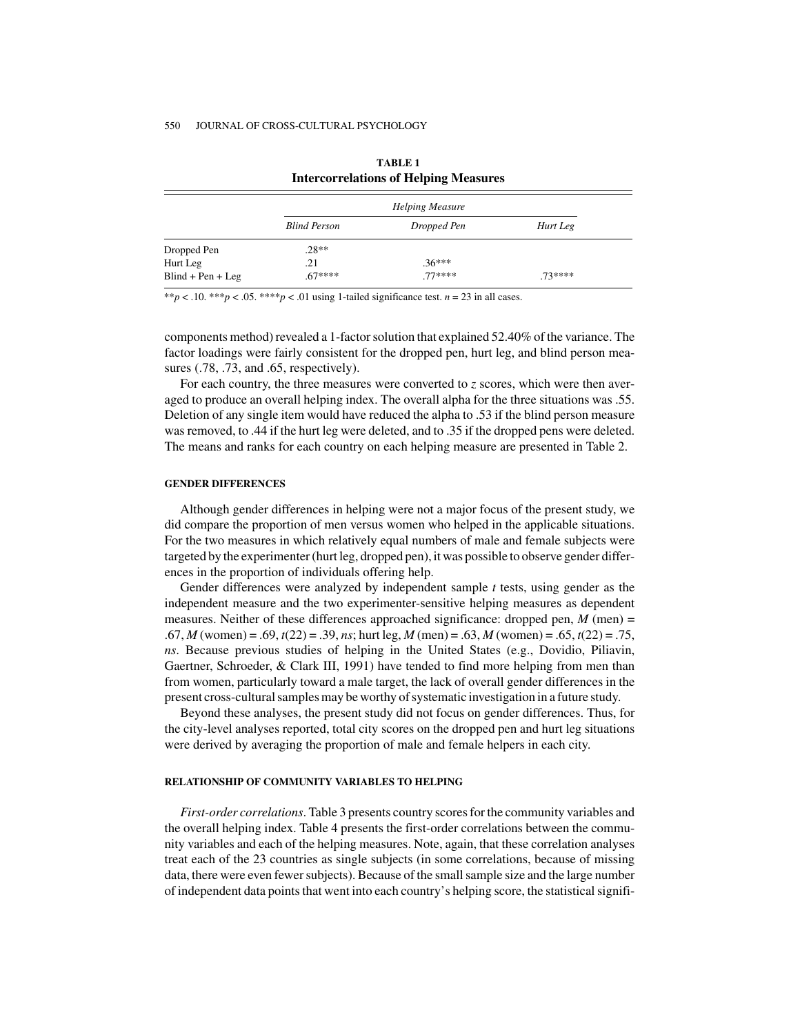| .<br><b>Intercorrelations of Helping Measures</b> |                     |                        |          |  |  |
|---------------------------------------------------|---------------------|------------------------|----------|--|--|
|                                                   |                     | <b>Helping Measure</b> |          |  |  |
|                                                   | <b>Blind Person</b> | Dropped Pen            | Hurt Leg |  |  |
| Dropped Pen                                       | $.28**$             |                        |          |  |  |
| Hurt Leg                                          | .21                 | $.36***$               |          |  |  |
| $Blind + Pen + Leg$                               | $67***$             | $77****$               | $73****$ |  |  |

| <b>TABLE 1</b>                               |  |  |  |  |  |
|----------------------------------------------|--|--|--|--|--|
| <b>Intercorrelations of Helping Measures</b> |  |  |  |  |  |

\*\**p* < .10. \*\*\**p* < .05. \*\*\*\**p* < .01 using 1-tailed significance test. *n* = 23 in all cases.

components method) revealed a 1-factor solution that explained 52.40% of the variance. The factor loadings were fairly consistent for the dropped pen, hurt leg, and blind person measures (.78, .73, and .65, respectively).

For each country, the three measures were converted to *z* scores, which were then averaged to produce an overall helping index. The overall alpha for the three situations was .55. Deletion of any single item would have reduced the alpha to .53 if the blind person measure was removed, to .44 if the hurt leg were deleted, and to .35 if the dropped pens were deleted. The means and ranks for each country on each helping measure are presented in Table 2.

## **GENDER DIFFERENCES**

Although gender differences in helping were not a major focus of the present study, we did compare the proportion of men versus women who helped in the applicable situations. For the two measures in which relatively equal numbers of male and female subjects were targeted by the experimenter (hurt leg, dropped pen), it was possible to observe gender differences in the proportion of individuals offering help.

Gender differences were analyzed by independent sample *t* tests, using gender as the independent measure and the two experimenter-sensitive helping measures as dependent measures. Neither of these differences approached significance: dropped pen, *M* (men) = .67, *M* (women) = .69, *t*(22) = .39, *ns*; hurt leg, *M* (men) = .63, *M* (women) = .65, *t*(22) = .75, *ns*. Because previous studies of helping in the United States (e.g., Dovidio, Piliavin, Gaertner, Schroeder, & Clark III, 1991) have tended to find more helping from men than from women, particularly toward a male target, the lack of overall gender differences in the present cross-cultural samples may be worthy of systematic investigation in a future study.

Beyond these analyses, the present study did not focus on gender differences. Thus, for the city-level analyses reported, total city scores on the dropped pen and hurt leg situations were derived by averaging the proportion of male and female helpers in each city.

# **RELATIONSHIP OF COMMUNITY VARIABLES TO HELPING**

*First-order correlations*. Table 3 presents country scores for the community variables and the overall helping index. Table 4 presents the first-order correlations between the community variables and each of the helping measures. Note, again, that these correlation analyses treat each of the 23 countries as single subjects (in some correlations, because of missing data, there were even fewer subjects). Because of the small sample size and the large number of independent data points that went into each country's helping score, the statistical signifi-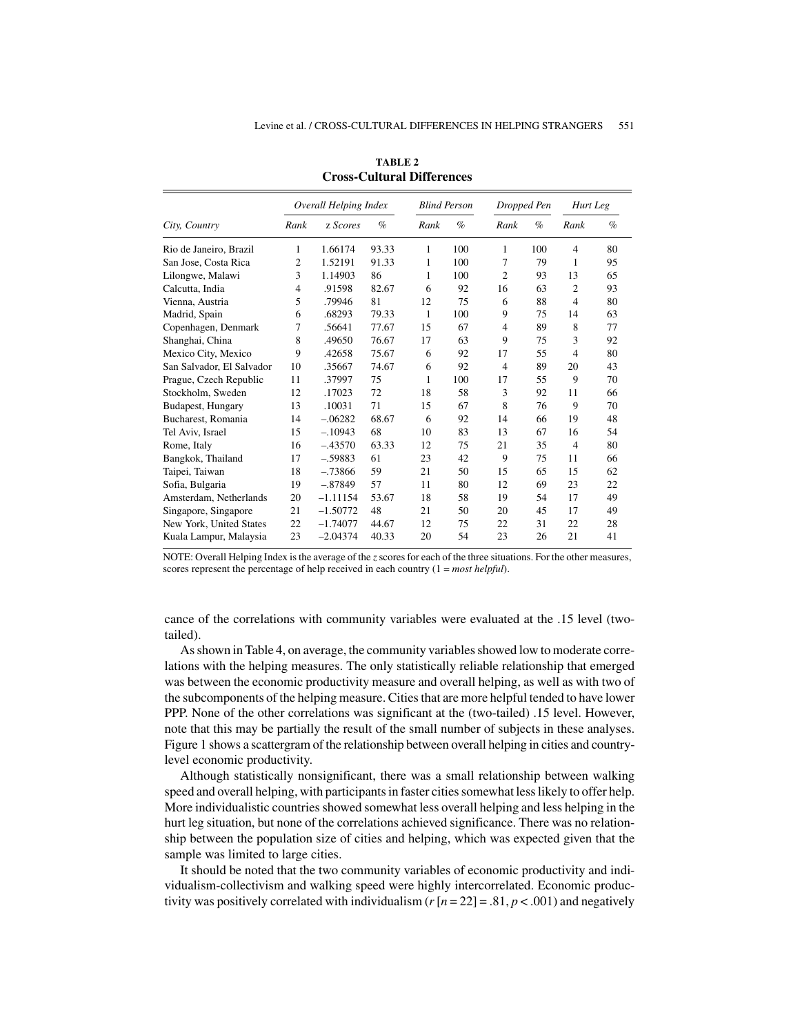|                           | Overall Helping Index |            | <b>Blind Person</b> |      | Dropped Pen |                | Hurt Leg |                |      |
|---------------------------|-----------------------|------------|---------------------|------|-------------|----------------|----------|----------------|------|
| City, Country             | Rank                  | z Scores   | $\%$                | Rank | $\%$        | Rank           | $\%$     | Rank           | $\%$ |
| Rio de Janeiro, Brazil    | 1                     | 1.66174    | 93.33               | 1    | 100         | 1              | 100      | $\overline{4}$ | 80   |
| San Jose, Costa Rica      | $\overline{2}$        | 1.52191    | 91.33               | 1    | 100         | 7              | 79       | 1              | 95   |
| Lilongwe, Malawi          | 3                     | 1.14903    | 86                  | 1    | 100         | $\overline{c}$ | 93       | 13             | 65   |
| Calcutta, India           | $\overline{4}$        | .91598     | 82.67               | 6    | 92          | 16             | 63       | $\overline{c}$ | 93   |
| Vienna, Austria           | 5                     | .79946     | 81                  | 12   | 75          | 6              | 88       | $\overline{4}$ | 80   |
| Madrid, Spain             | 6                     | .68293     | 79.33               | 1    | 100         | 9              | 75       | 14             | 63   |
| Copenhagen, Denmark       | 7                     | .56641     | 77.67               | 15   | 67          | $\overline{4}$ | 89       | 8              | 77   |
| Shanghai, China           | 8                     | .49650     | 76.67               | 17   | 63          | 9              | 75       | 3              | 92   |
| Mexico City, Mexico       | 9                     | .42658     | 75.67               | 6    | 92          | 17             | 55       | $\overline{4}$ | 80   |
| San Salvador, El Salvador | 10                    | .35667     | 74.67               | 6    | 92          | $\overline{4}$ | 89       | 20             | 43   |
| Prague, Czech Republic    | 11                    | .37997     | 75                  | 1    | 100         | 17             | 55       | 9              | 70   |
| Stockholm, Sweden         | 12                    | .17023     | 72                  | 18   | 58          | 3              | 92       | 11             | 66   |
| Budapest, Hungary         | 13                    | .10031     | 71                  | 15   | 67          | 8              | 76       | 9              | 70   |
| Bucharest, Romania        | 14                    | $-.06282$  | 68.67               | 6    | 92          | 14             | 66       | 19             | 48   |
| Tel Aviv. Israel          | 15                    | $-.10943$  | 68                  | 10   | 83          | 13             | 67       | 16             | 54   |
| Rome, Italy               | 16                    | $-.43570$  | 63.33               | 12   | 75          | 21             | 35       | $\overline{4}$ | 80   |
| Bangkok, Thailand         | 17                    | $-.59883$  | 61                  | 23   | 42          | 9              | 75       | 11             | 66   |
| Taipei, Taiwan            | 18                    | $-.73866$  | 59                  | 21   | 50          | 15             | 65       | 15             | 62   |
| Sofia, Bulgaria           | 19                    | $-.87849$  | 57                  | 11   | 80          | 12             | 69       | 23             | 22   |
| Amsterdam, Netherlands    | 20                    | $-1.11154$ | 53.67               | 18   | 58          | 19             | 54       | 17             | 49   |
| Singapore, Singapore      | 21                    | $-1.50772$ | 48                  | 21   | 50          | 20             | 45       | 17             | 49   |
| New York, United States   | 22                    | $-1.74077$ | 44.67               | 12   | 75          | 22             | 31       | 22             | 28   |
| Kuala Lampur, Malaysia    | 23                    | $-2.04374$ | 40.33               | 20   | 54          | 23             | 26       | 21             | 41   |

**TABLE 2 Cross-Cultural Differences**

NOTE: Overall Helping Index is the average of the *z*scores for each of the three situations. For the other measures, scores represent the percentage of help received in each country (1 = *most helpful*).

cance of the correlations with community variables were evaluated at the .15 level (twotailed).

As shown in Table 4, on average, the community variables showed low to moderate correlations with the helping measures. The only statistically reliable relationship that emerged was between the economic productivity measure and overall helping, as well as with two of the subcomponents of the helping measure. Cities that are more helpful tended to have lower PPP. None of the other correlations was significant at the (two-tailed) .15 level. However, note that this may be partially the result of the small number of subjects in these analyses. Figure 1 shows a scattergram of the relationship between overall helping in cities and countrylevel economic productivity.

Although statistically nonsignificant, there was a small relationship between walking speed and overall helping, with participants in faster cities somewhat less likely to offer help. More individualistic countries showed somewhat less overall helping and less helping in the hurt leg situation, but none of the correlations achieved significance. There was no relationship between the population size of cities and helping, which was expected given that the sample was limited to large cities.

It should be noted that the two community variables of economic productivity and individualism-collectivism and walking speed were highly intercorrelated. Economic productivity was positively correlated with individualism  $(r[n = 22] = .81, p < .001)$  and negatively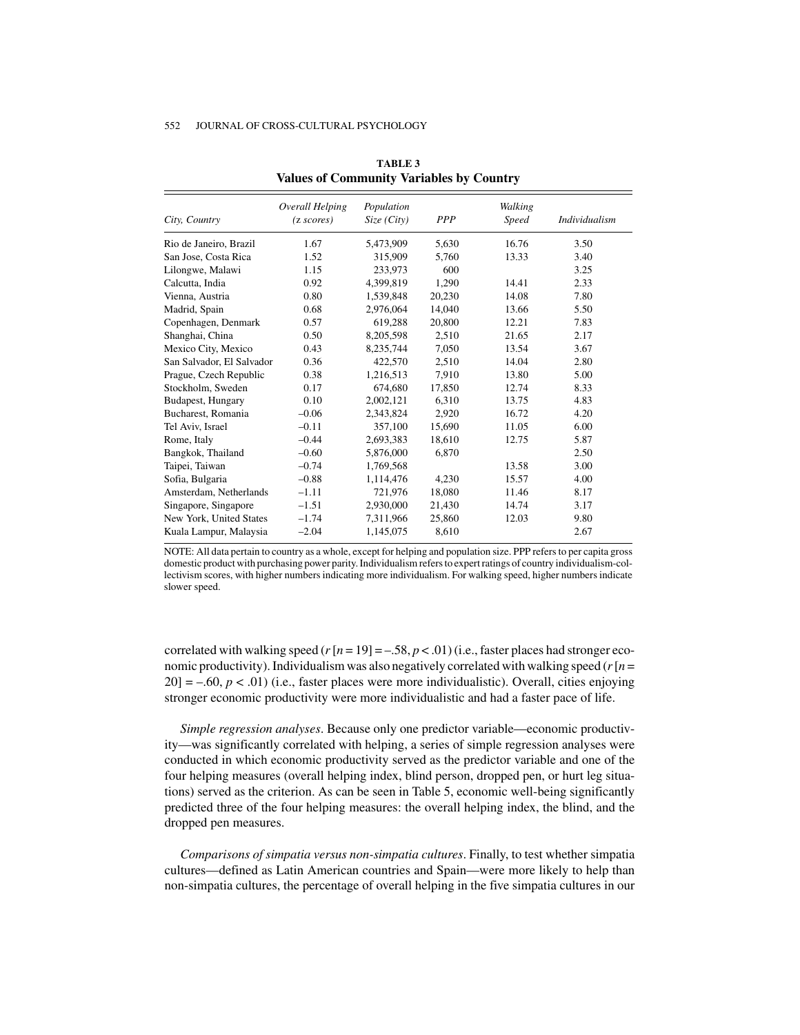| City, Country             | Overall Helping<br>(z scores) | Population<br>Size(City) | <b>PPP</b> | Walking<br><b>Speed</b> | Individualism |
|---------------------------|-------------------------------|--------------------------|------------|-------------------------|---------------|
| Rio de Janeiro, Brazil    | 1.67                          | 5,473,909                | 5,630      | 16.76                   | 3.50          |
| San Jose, Costa Rica      | 1.52                          | 315.909                  | 5,760      | 13.33                   | 3.40          |
| Lilongwe, Malawi          | 1.15                          | 233,973                  | 600        |                         | 3.25          |
| Calcutta, India           | 0.92                          | 4,399,819                | 1,290      | 14.41                   | 2.33          |
| Vienna, Austria           | 0.80                          | 1,539,848                | 20,230     | 14.08                   | 7.80          |
| Madrid, Spain             | 0.68                          | 2,976,064                | 14,040     | 13.66                   | 5.50          |
| Copenhagen, Denmark       | 0.57                          | 619,288                  | 20,800     | 12.21                   | 7.83          |
| Shanghai, China           | 0.50                          | 8,205,598                | 2,510      | 21.65                   | 2.17          |
| Mexico City, Mexico       | 0.43                          | 8,235,744                | 7,050      | 13.54                   | 3.67          |
| San Salvador, El Salvador | 0.36                          | 422,570                  | 2,510      | 14.04                   | 2.80          |
| Prague, Czech Republic    | 0.38                          | 1,216,513                | 7,910      | 13.80                   | 5.00          |
| Stockholm, Sweden         | 0.17                          | 674,680                  | 17,850     | 12.74                   | 8.33          |
| Budapest, Hungary         | 0.10                          | 2,002,121                | 6,310      | 13.75                   | 4.83          |
| Bucharest, Romania        | $-0.06$                       | 2,343,824                | 2,920      | 16.72                   | 4.20          |
| Tel Aviv, Israel          | $-0.11$                       | 357,100                  | 15,690     | 11.05                   | 6.00          |
| Rome, Italy               | $-0.44$                       | 2,693,383                | 18,610     | 12.75                   | 5.87          |
| Bangkok, Thailand         | $-0.60$                       | 5,876,000                | 6,870      |                         | 2.50          |
| Taipei, Taiwan            | $-0.74$                       | 1,769,568                |            | 13.58                   | 3.00          |
| Sofia, Bulgaria           | $-0.88$                       | 1,114,476                | 4,230      | 15.57                   | 4.00          |
| Amsterdam, Netherlands    | $-1.11$                       | 721,976                  | 18,080     | 11.46                   | 8.17          |
| Singapore, Singapore      | $-1.51$                       | 2,930,000                | 21,430     | 14.74                   | 3.17          |
| New York, United States   | $-1.74$                       | 7,311,966                | 25,860     | 12.03                   | 9.80          |
| Kuala Lampur, Malaysia    | $-2.04$                       | 1,145,075                | 8,610      |                         | 2.67          |

**TABLE 3 Values of Community Variables by Country**

correlated with walking speed  $(r[n = 19] = -.58, p < .01)$  (i.e., faster places had stronger economic productivity). Individualism was also negatively correlated with walking speed (*r*[*n* =  $20$ ] = -.60,  $p < .01$ ) (i.e., faster places were more individualistic). Overall, cities enjoying stronger economic productivity were more individualistic and had a faster pace of life.

*Simple regression analyses*. Because only one predictor variable—economic productivity—was significantly correlated with helping, a series of simple regression analyses were conducted in which economic productivity served as the predictor variable and one of the four helping measures (overall helping index, blind person, dropped pen, or hurt leg situations) served as the criterion. As can be seen in Table 5, economic well-being significantly predicted three of the four helping measures: the overall helping index, the blind, and the dropped pen measures.

*Comparisons of simpatia versus non-simpatia cultures*. Finally, to test whether simpatia cultures—defined as Latin American countries and Spain—were more likely to help than non-simpatia cultures, the percentage of overall helping in the five simpatia cultures in our

NOTE: All data pertain to country as a whole, except for helping and population size. PPP refers to per capita gross domestic product with purchasing power parity. Individualism refers to expert ratings of country individualism-collectivism scores, with higher numbers indicating more individualism. For walking speed, higher numbers indicate slower speed.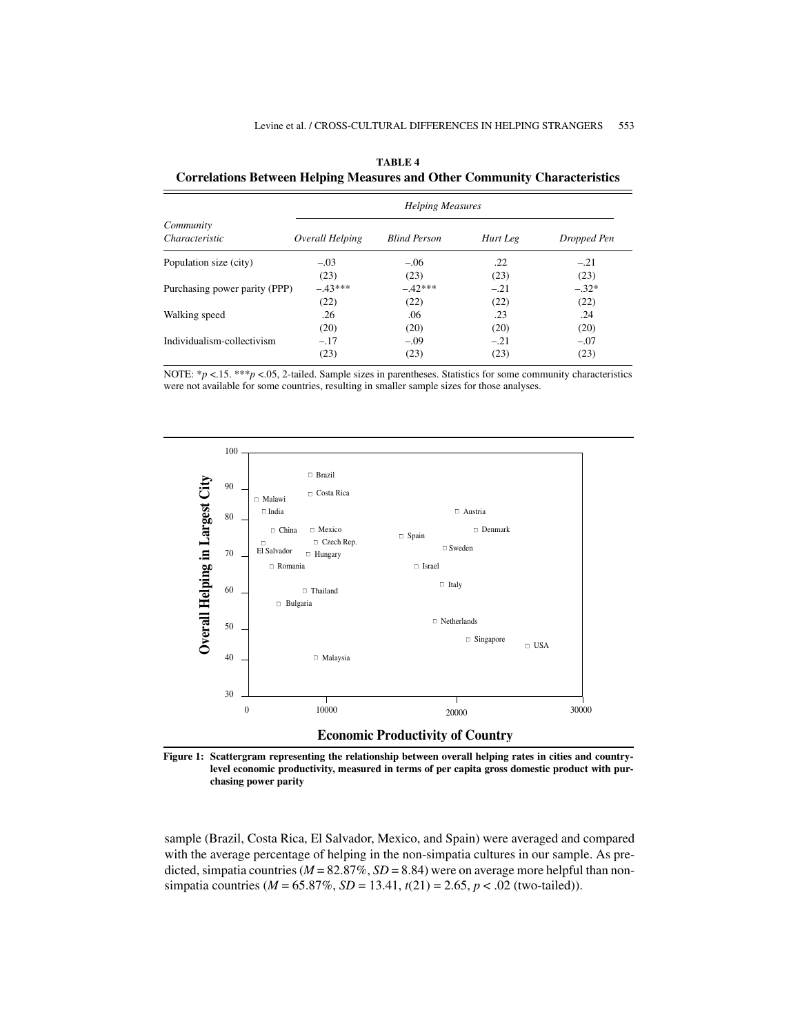|                                    | <b>Helping Measures</b> |                     |          |             |  |  |  |
|------------------------------------|-------------------------|---------------------|----------|-------------|--|--|--|
| Community<br><i>Characteristic</i> | Overall Helping         | <b>Blind Person</b> | Hurt Leg | Dropped Pen |  |  |  |
| Population size (city)             | $-.03$                  | $-.06$              | .22      | $-.21$      |  |  |  |
|                                    | (23)                    | (23)                | (23)     | (23)        |  |  |  |
| Purchasing power parity (PPP)      | $-.43***$               | $-.42***$           | $-.21$   | $-.32*$     |  |  |  |
|                                    | (22)                    | (22)                | (22)     | (22)        |  |  |  |
| Walking speed                      | .26                     | .06                 | .23      | .24         |  |  |  |
|                                    | (20)                    | (20)                | (20)     | (20)        |  |  |  |
| Individualism-collectivism         | $-.17$                  | $-.09$              | $-.21$   | $-.07$      |  |  |  |
|                                    | (23)                    | (23)                | (23)     | (23)        |  |  |  |

**TABLE 4 Correlations Between Helping Measures and Other Community Characteristics**

NOTE: \**p* <.15. \*\*\**p* <.05, 2-tailed. Sample sizes in parentheses. Statistics for some community characteristics were not available for some countries, resulting in smaller sample sizes for those analyses.



**Figure 1: Scattergram representing the relationship between overall helping rates in cities and countrylevel economic productivity, measured in terms of per capita gross domestic product with purchasing power parity**

sample (Brazil, Costa Rica, El Salvador, Mexico, and Spain) were averaged and compared with the average percentage of helping in the non-simpatia cultures in our sample. As predicted, simpatia countries ( $M = 82.87\%$ ,  $SD = 8.84$ ) were on average more helpful than nonsimpatia countries ( $M = 65.87\%$ ,  $SD = 13.41$ ,  $t(21) = 2.65$ ,  $p < .02$  (two-tailed)).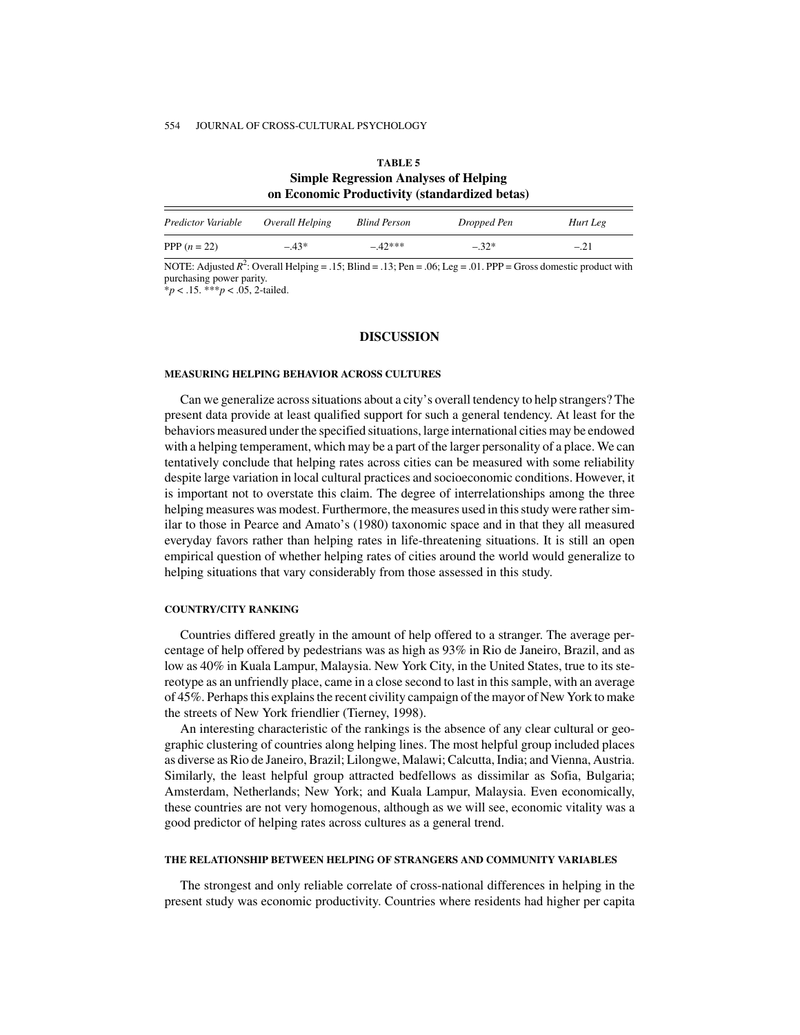# **TABLE 5 Simple Regression Analyses of Helping on Economic Productivity (standardized betas)**

| Predictor Variable | Overall Helping | <b>Blind Person</b> | Dropped Pen | Hurt Leg |
|--------------------|-----------------|---------------------|-------------|----------|
| PPP $(n = 22)$     | $-.43*$         | $-42***$            | $-.32*$     | $-.21$   |

NOTE: Adjusted  $R^2$ : Overall Helping = .15; Blind = .13; Pen = .06; Leg = .01. PPP = Gross domestic product with purchasing power parity.

\**p* < .15. \*\*\**p* < .05, 2-tailed.

### **DISCUSSION**

### **MEASURING HELPING BEHAVIOR ACROSS CULTURES**

Can we generalize across situations about a city's overall tendency to help strangers? The present data provide at least qualified support for such a general tendency. At least for the behaviors measured under the specified situations, large international cities may be endowed with a helping temperament, which may be a part of the larger personality of a place. We can tentatively conclude that helping rates across cities can be measured with some reliability despite large variation in local cultural practices and socioeconomic conditions. However, it is important not to overstate this claim. The degree of interrelationships among the three helping measures was modest. Furthermore, the measures used in this study were rather similar to those in Pearce and Amato's (1980) taxonomic space and in that they all measured everyday favors rather than helping rates in life-threatening situations. It is still an open empirical question of whether helping rates of cities around the world would generalize to helping situations that vary considerably from those assessed in this study.

### **COUNTRY/CITY RANKING**

Countries differed greatly in the amount of help offered to a stranger. The average percentage of help offered by pedestrians was as high as 93% in Rio de Janeiro, Brazil, and as low as 40% in Kuala Lampur, Malaysia. New York City, in the United States, true to its stereotype as an unfriendly place, came in a close second to last in this sample, with an average of 45%. Perhaps this explains the recent civility campaign of the mayor of New York to make the streets of New York friendlier (Tierney, 1998).

An interesting characteristic of the rankings is the absence of any clear cultural or geographic clustering of countries along helping lines. The most helpful group included places as diverse as Rio de Janeiro, Brazil; Lilongwe, Malawi; Calcutta, India; and Vienna, Austria. Similarly, the least helpful group attracted bedfellows as dissimilar as Sofia, Bulgaria; Amsterdam, Netherlands; New York; and Kuala Lampur, Malaysia. Even economically, these countries are not very homogenous, although as we will see, economic vitality was a good predictor of helping rates across cultures as a general trend.

# **THE RELATIONSHIP BETWEEN HELPING OF STRANGERS AND COMMUNITY VARIABLES**

The strongest and only reliable correlate of cross-national differences in helping in the present study was economic productivity. Countries where residents had higher per capita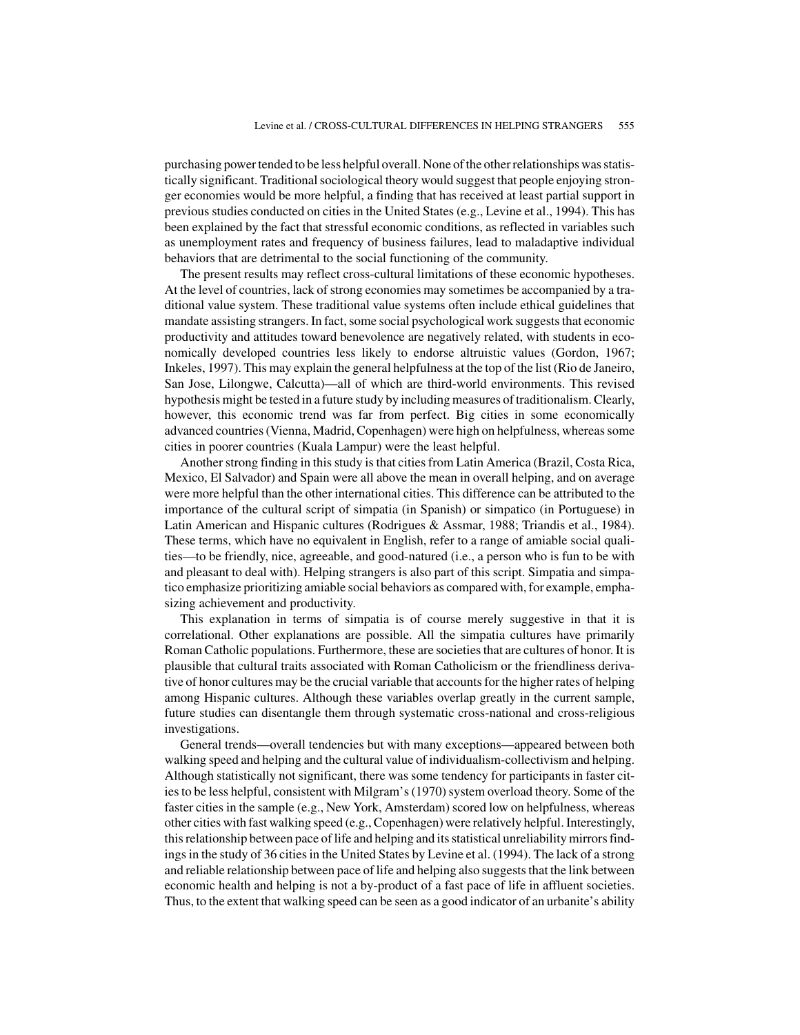purchasing power tended to be less helpful overall. None of the other relationships was statistically significant. Traditional sociological theory would suggest that people enjoying stronger economies would be more helpful, a finding that has received at least partial support in previous studies conducted on cities in the United States (e.g., Levine et al., 1994). This has been explained by the fact that stressful economic conditions, as reflected in variables such as unemployment rates and frequency of business failures, lead to maladaptive individual behaviors that are detrimental to the social functioning of the community.

The present results may reflect cross-cultural limitations of these economic hypotheses. At the level of countries, lack of strong economies may sometimes be accompanied by a traditional value system. These traditional value systems often include ethical guidelines that mandate assisting strangers. In fact, some social psychological work suggests that economic productivity and attitudes toward benevolence are negatively related, with students in economically developed countries less likely to endorse altruistic values (Gordon, 1967; Inkeles, 1997). This may explain the general helpfulness at the top of the list (Rio de Janeiro, San Jose, Lilongwe, Calcutta)—all of which are third-world environments. This revised hypothesis might be tested in a future study by including measures of traditionalism. Clearly, however, this economic trend was far from perfect. Big cities in some economically advanced countries (Vienna, Madrid, Copenhagen) were high on helpfulness, whereas some cities in poorer countries (Kuala Lampur) were the least helpful.

Another strong finding in this study is that cities from Latin America (Brazil, Costa Rica, Mexico, El Salvador) and Spain were all above the mean in overall helping, and on average were more helpful than the other international cities. This difference can be attributed to the importance of the cultural script of simpatia (in Spanish) or simpatico (in Portuguese) in Latin American and Hispanic cultures (Rodrigues & Assmar, 1988; Triandis et al., 1984). These terms, which have no equivalent in English, refer to a range of amiable social qualities—to be friendly, nice, agreeable, and good-natured (i.e., a person who is fun to be with and pleasant to deal with). Helping strangers is also part of this script. Simpatia and simpatico emphasize prioritizing amiable social behaviors as compared with, for example, emphasizing achievement and productivity.

This explanation in terms of simpatia is of course merely suggestive in that it is correlational. Other explanations are possible. All the simpatia cultures have primarily Roman Catholic populations. Furthermore, these are societies that are cultures of honor. It is plausible that cultural traits associated with Roman Catholicism or the friendliness derivative of honor cultures may be the crucial variable that accounts for the higher rates of helping among Hispanic cultures. Although these variables overlap greatly in the current sample, future studies can disentangle them through systematic cross-national and cross-religious investigations.

General trends—overall tendencies but with many exceptions—appeared between both walking speed and helping and the cultural value of individualism-collectivism and helping. Although statistically not significant, there was some tendency for participants in faster cities to be less helpful, consistent with Milgram's (1970) system overload theory. Some of the faster cities in the sample (e.g., New York, Amsterdam) scored low on helpfulness, whereas other cities with fast walking speed (e.g., Copenhagen) were relatively helpful. Interestingly, this relationship between pace of life and helping and its statistical unreliability mirrors findings in the study of 36 cities in the United States by Levine et al. (1994). The lack of a strong and reliable relationship between pace of life and helping also suggests that the link between economic health and helping is not a by-product of a fast pace of life in affluent societies. Thus, to the extent that walking speed can be seen as a good indicator of an urbanite's ability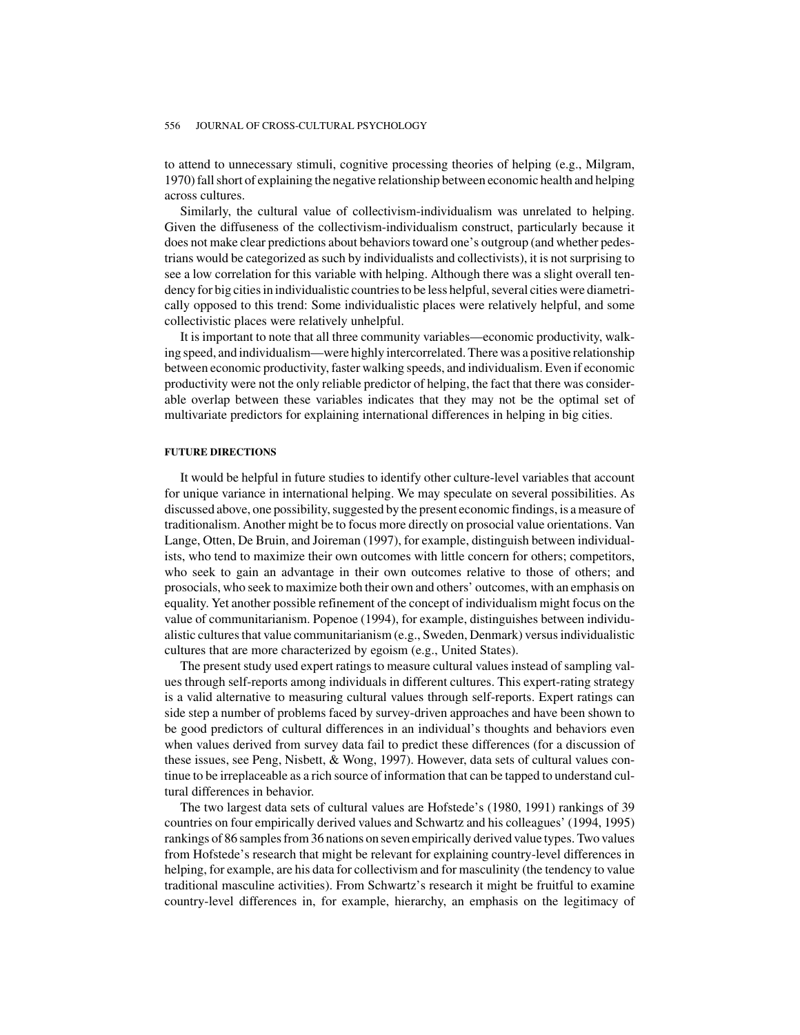to attend to unnecessary stimuli, cognitive processing theories of helping (e.g., Milgram, 1970) fall short of explaining the negative relationship between economic health and helping across cultures.

Similarly, the cultural value of collectivism-individualism was unrelated to helping. Given the diffuseness of the collectivism-individualism construct, particularly because it does not make clear predictions about behaviors toward one's outgroup (and whether pedestrians would be categorized as such by individualists and collectivists), it is not surprising to see a low correlation for this variable with helping. Although there was a slight overall tendency for big cities in individualistic countries to be less helpful, several cities were diametrically opposed to this trend: Some individualistic places were relatively helpful, and some collectivistic places were relatively unhelpful.

It is important to note that all three community variables—economic productivity, walking speed, and individualism—were highly intercorrelated. There was a positive relationship between economic productivity, faster walking speeds, and individualism. Even if economic productivity were not the only reliable predictor of helping, the fact that there was considerable overlap between these variables indicates that they may not be the optimal set of multivariate predictors for explaining international differences in helping in big cities.

### **FUTURE DIRECTIONS**

It would be helpful in future studies to identify other culture-level variables that account for unique variance in international helping. We may speculate on several possibilities. As discussed above, one possibility, suggested by the present economic findings, is a measure of traditionalism. Another might be to focus more directly on prosocial value orientations. Van Lange, Otten, De Bruin, and Joireman (1997), for example, distinguish between individualists, who tend to maximize their own outcomes with little concern for others; competitors, who seek to gain an advantage in their own outcomes relative to those of others; and prosocials, who seek to maximize both their own and others' outcomes, with an emphasis on equality. Yet another possible refinement of the concept of individualism might focus on the value of communitarianism. Popenoe (1994), for example, distinguishes between individualistic cultures that value communitarianism (e.g., Sweden, Denmark) versus individualistic cultures that are more characterized by egoism (e.g., United States).

The present study used expert ratings to measure cultural values instead of sampling values through self-reports among individuals in different cultures. This expert-rating strategy is a valid alternative to measuring cultural values through self-reports. Expert ratings can side step a number of problems faced by survey-driven approaches and have been shown to be good predictors of cultural differences in an individual's thoughts and behaviors even when values derived from survey data fail to predict these differences (for a discussion of these issues, see Peng, Nisbett, & Wong, 1997). However, data sets of cultural values continue to be irreplaceable as a rich source of information that can be tapped to understand cultural differences in behavior.

The two largest data sets of cultural values are Hofstede's (1980, 1991) rankings of 39 countries on four empirically derived values and Schwartz and his colleagues' (1994, 1995) rankings of 86 samples from 36 nations on seven empirically derived value types. Two values from Hofstede's research that might be relevant for explaining country-level differences in helping, for example, are his data for collectivism and for masculinity (the tendency to value traditional masculine activities). From Schwartz's research it might be fruitful to examine country-level differences in, for example, hierarchy, an emphasis on the legitimacy of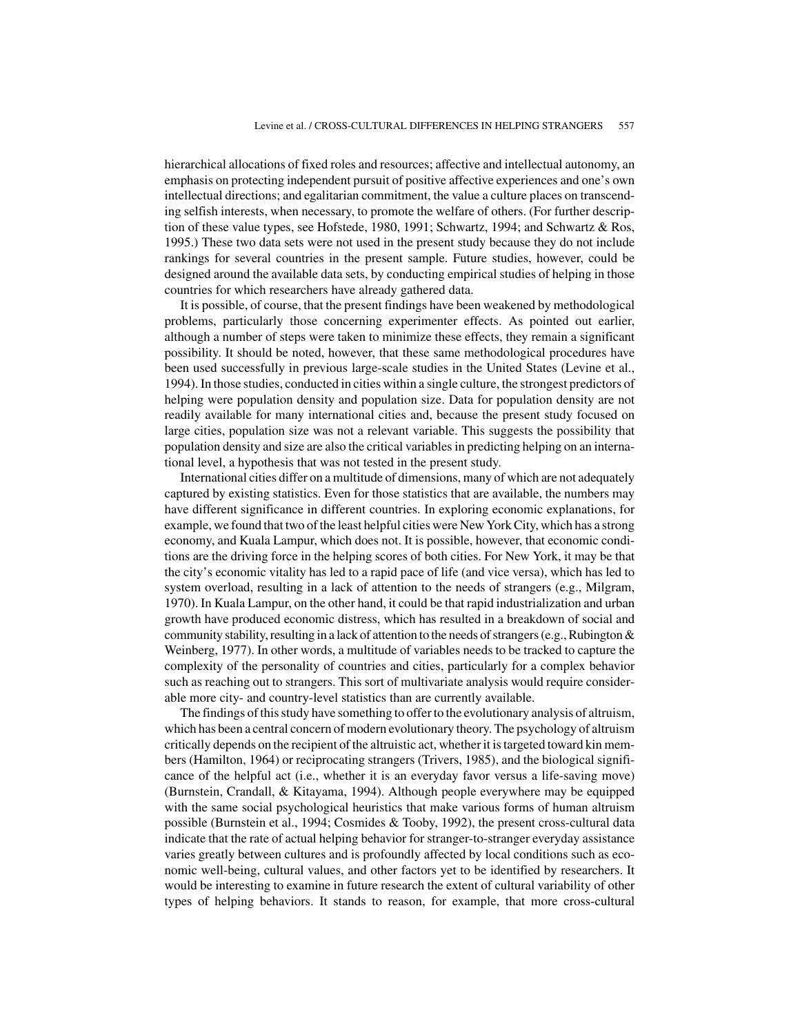hierarchical allocations of fixed roles and resources; affective and intellectual autonomy, an emphasis on protecting independent pursuit of positive affective experiences and one's own intellectual directions; and egalitarian commitment, the value a culture places on transcending selfish interests, when necessary, to promote the welfare of others. (For further description of these value types, see Hofstede, 1980, 1991; Schwartz, 1994; and Schwartz & Ros, 1995.) These two data sets were not used in the present study because they do not include rankings for several countries in the present sample. Future studies, however, could be designed around the available data sets, by conducting empirical studies of helping in those countries for which researchers have already gathered data.

It is possible, of course, that the present findings have been weakened by methodological problems, particularly those concerning experimenter effects. As pointed out earlier, although a number of steps were taken to minimize these effects, they remain a significant possibility. It should be noted, however, that these same methodological procedures have been used successfully in previous large-scale studies in the United States (Levine et al., 1994). In those studies, conducted in cities within a single culture, the strongest predictors of helping were population density and population size. Data for population density are not readily available for many international cities and, because the present study focused on large cities, population size was not a relevant variable. This suggests the possibility that population density and size are also the critical variables in predicting helping on an international level, a hypothesis that was not tested in the present study.

International cities differ on a multitude of dimensions, many of which are not adequately captured by existing statistics. Even for those statistics that are available, the numbers may have different significance in different countries. In exploring economic explanations, for example, we found that two of the least helpful cities were New York City, which has a strong economy, and Kuala Lampur, which does not. It is possible, however, that economic conditions are the driving force in the helping scores of both cities. For New York, it may be that the city's economic vitality has led to a rapid pace of life (and vice versa), which has led to system overload, resulting in a lack of attention to the needs of strangers (e.g., Milgram, 1970). In Kuala Lampur, on the other hand, it could be that rapid industrialization and urban growth have produced economic distress, which has resulted in a breakdown of social and community stability, resulting in a lack of attention to the needs of strangers (e.g., Rubington  $\&$ Weinberg, 1977). In other words, a multitude of variables needs to be tracked to capture the complexity of the personality of countries and cities, particularly for a complex behavior such as reaching out to strangers. This sort of multivariate analysis would require considerable more city- and country-level statistics than are currently available.

The findings of this study have something to offer to the evolutionary analysis of altruism, which has been a central concern of modern evolutionary theory. The psychology of altruism critically depends on the recipient of the altruistic act, whether it is targeted toward kin members (Hamilton, 1964) or reciprocating strangers (Trivers, 1985), and the biological significance of the helpful act (i.e., whether it is an everyday favor versus a life-saving move) (Burnstein, Crandall, & Kitayama, 1994). Although people everywhere may be equipped with the same social psychological heuristics that make various forms of human altruism possible (Burnstein et al., 1994; Cosmides & Tooby, 1992), the present cross-cultural data indicate that the rate of actual helping behavior for stranger-to-stranger everyday assistance varies greatly between cultures and is profoundly affected by local conditions such as economic well-being, cultural values, and other factors yet to be identified by researchers. It would be interesting to examine in future research the extent of cultural variability of other types of helping behaviors. It stands to reason, for example, that more cross-cultural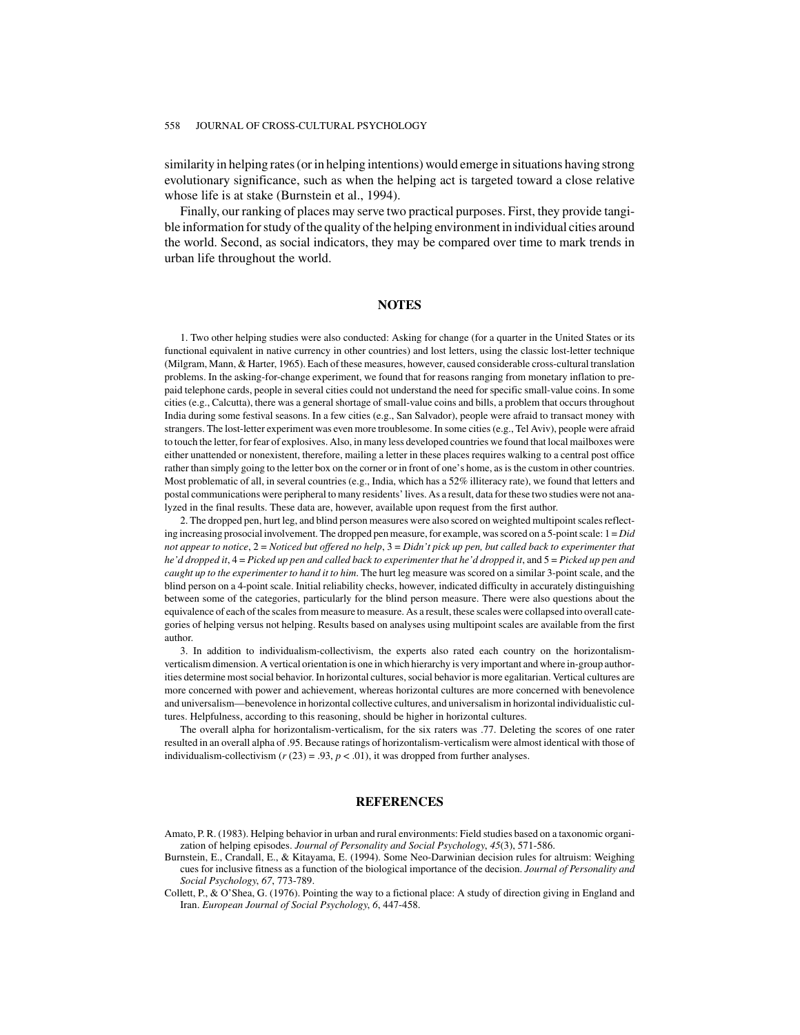similarity in helping rates (or in helping intentions) would emerge in situations having strong evolutionary significance, such as when the helping act is targeted toward a close relative whose life is at stake (Burnstein et al., 1994).

Finally, our ranking of places may serve two practical purposes. First, they provide tangible information for study of the quality of the helping environment in individual cities around the world. Second, as social indicators, they may be compared over time to mark trends in urban life throughout the world.

### **NOTES**

1. Two other helping studies were also conducted: Asking for change (for a quarter in the United States or its functional equivalent in native currency in other countries) and lost letters, using the classic lost-letter technique (Milgram, Mann, & Harter, 1965). Each of these measures, however, caused considerable cross-cultural translation problems. In the asking-for-change experiment, we found that for reasons ranging from monetary inflation to prepaid telephone cards, people in several cities could not understand the need for specific small-value coins. In some cities (e.g., Calcutta), there was a general shortage of small-value coins and bills, a problem that occurs throughout India during some festival seasons. In a few cities (e.g., San Salvador), people were afraid to transact money with strangers. The lost-letter experiment was even more troublesome. In some cities (e.g., Tel Aviv), people were afraid to touch the letter, for fear of explosives. Also, in many less developed countries we found that local mailboxes were either unattended or nonexistent, therefore, mailing a letter in these places requires walking to a central post office rather than simply going to the letter box on the corner or in front of one's home, as is the custom in other countries. Most problematic of all, in several countries (e.g., India, which has a 52% illiteracy rate), we found that letters and postal communications were peripheral to many residents'lives. As a result, data for these two studies were not analyzed in the final results. These data are, however, available upon request from the first author.

2. The dropped pen, hurt leg, and blind person measures were also scored on weighted multipoint scales reflecting increasing prosocial involvement. The dropped pen measure, for example, was scored on a 5-point scale: 1 = *Did not appear to notice*,2= *Noticed but offered no help*,3= *Didn't pick up pen, but called back to experimenter that he'd dropped it*,4= *Picked up pen and called back to experimenter that he'd dropped it*, and 5 = *Picked up pen and caught up to the experimenter to hand it to him*. The hurt leg measure was scored on a similar 3-point scale, and the blind person on a 4-point scale. Initial reliability checks, however, indicated difficulty in accurately distinguishing between some of the categories, particularly for the blind person measure. There were also questions about the equivalence of each of the scales from measure to measure. As a result, these scales were collapsed into overall categories of helping versus not helping. Results based on analyses using multipoint scales are available from the first author.

3. In addition to individualism-collectivism, the experts also rated each country on the horizontalismverticalism dimension. A vertical orientation is one in which hierarchy is very important and where in-group authorities determine most social behavior. In horizontal cultures, social behavior is more egalitarian. Vertical cultures are more concerned with power and achievement, whereas horizontal cultures are more concerned with benevolence and universalism—benevolence in horizontal collective cultures, and universalism in horizontal individualistic cultures. Helpfulness, according to this reasoning, should be higher in horizontal cultures.

The overall alpha for horizontalism-verticalism, for the six raters was .77. Deleting the scores of one rater resulted in an overall alpha of .95. Because ratings of horizontalism-verticalism were almost identical with those of individualism-collectivism  $(r (23) = .93, p < .01)$ , it was dropped from further analyses.

### **REFERENCES**

Amato, P. R. (1983). Helping behavior in urban and rural environments: Field studies based on a taxonomic organization of helping episodes. *Journal of Personality and Social Psychology*, *45*(3), 571-586.

- Burnstein, E., Crandall, E., & Kitayama, E. (1994). Some Neo-Darwinian decision rules for altruism: Weighing cues for inclusive fitness as a function of the biological importance of the decision. *Journal of Personality and Social Psychology*, *67*, 773-789.
- Collett, P., & O'Shea, G. (1976). Pointing the way to a fictional place: A study of direction giving in England and Iran. *European Journal of Social Psychology*, *6*, 447-458.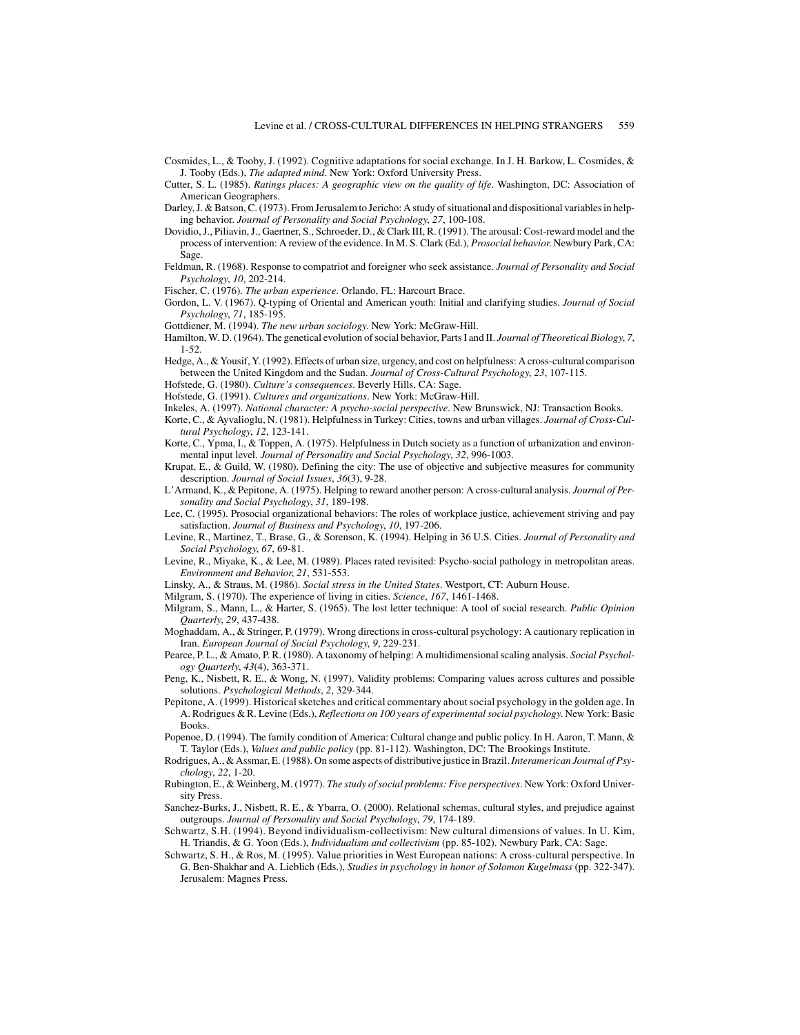- Cosmides, L., & Tooby, J. (1992). Cognitive adaptations for social exchange. In J. H. Barkow, L. Cosmides, & J. Tooby (Eds.), *The adapted mind*. New York: Oxford University Press.
- Cutter, S. L. (1985). *Ratings places: A geographic view on the quality of life*. Washington, DC: Association of American Geographers.

Darley, J. & Batson, C. (1973). From Jerusalem to Jericho: A study of situational and dispositional variables in helping behavior. *Journal of Personality and Social Psychology*, *27*, 100-108.

- Dovidio, J., Piliavin, J., Gaertner, S., Schroeder, D., & Clark III, R. (1991). The arousal: Cost-reward model and the process of intervention: A review of the evidence. In M. S. Clark (Ed.), *Prosocial behavior*. Newbury Park, CA: Sage.
- Feldman, R. (1968). Response to compatriot and foreigner who seek assistance. *Journal of Personality and Social Psychology*, *10*, 202-214.

Fischer, C. (1976). *The urban experience*. Orlando, FL: Harcourt Brace.

Gordon, L. V. (1967). Q-typing of Oriental and American youth: Initial and clarifying studies. *Journal of Social Psychology*, *71*, 185-195.

Gottdiener, M. (1994). *The new urban sociology*. New York: McGraw-Hill.

- Hamilton, W. D. (1964). The genetical evolution of social behavior, Parts I and II. *Journal of Theoretical Biology*, *7*, 1-52.
- Hedge, A., & Yousif, Y. (1992). Effects of urban size, urgency, and cost on helpfulness: A cross-cultural comparison between the United Kingdom and the Sudan. *Journal of Cross-Cultural Psychology*, *23*, 107-115.
- Hofstede, G. (1980). *Culture's consequences*. Beverly Hills, CA: Sage.

Hofstede, G. (1991). *Cultures and organizations*. New York: McGraw-Hill.

- Inkeles, A. (1997). *National character: A psycho-social perspective*. New Brunswick, NJ: Transaction Books.
- Korte, C., & Ayvalioglu, N. (1981). Helpfulness in Turkey: Cities, towns and urban villages. *Journal of Cross-Cultural Psychology*, *12*, 123-141.

Korte, C., Ypma, I., & Toppen, A. (1975). Helpfulness in Dutch society as a function of urbanization and environmental input level. *Journal of Personality and Social Psychology*, *32*, 996-1003.

- Krupat, E., & Guild, W. (1980). Defining the city: The use of objective and subjective measures for community description. *Journal of Social Issues*, *36*(3), 9-28.
- L'Armand, K., & Pepitone, A. (1975). Helping to reward another person: A cross-cultural analysis. *Journal of Personality and Social Psychology*, *31*, 189-198.
- Lee, C. (1995). Prosocial organizational behaviors: The roles of workplace justice, achievement striving and pay satisfaction. *Journal of Business and Psychology*, *10*, 197-206.
- Levine, R., Martinez, T., Brase, G., & Sorenson, K. (1994). Helping in 36 U.S. Cities. *Journal of Personality and Social Psychology*, *67*, 69-81.
- Levine, R., Miyake, K., & Lee, M. (1989). Places rated revisited: Psycho-social pathology in metropolitan areas. *Environment and Behavior*, *21*, 531-553.
- Linsky, A., & Straus, M. (1986). *Social stress in the United States*. Westport, CT: Auburn House.
- Milgram, S. (1970). The experience of living in cities. *Science*, *167*, 1461-1468.

Milgram, S., Mann, L., & Harter, S. (1965). The lost letter technique: A tool of social research. *Public Opinion Quarterly*, *29*, 437-438.

- Moghaddam, A., & Stringer, P. (1979). Wrong directions in cross-cultural psychology: A cautionary replication in Iran. *European Journal of Social Psychology*, *9*, 229-231.
- Pearce, P. L., & Amato, P. R. (1980). A taxonomy of helping: A multidimensional scaling analysis. *Social Psychology Quarterly*, *43*(4), 363-371.
- Peng, K., Nisbett, R. E., & Wong, N. (1997). Validity problems: Comparing values across cultures and possible solutions. *Psychological Methods*, *2*, 329-344.
- Pepitone, A. (1999). Historical sketches and critical commentary about social psychology in the golden age. In A. Rodrigues & R. Levine (Eds.), *Reflections on 100 years of experimental social psychology*. New York: Basic Books.
- Popenoe, D. (1994). The family condition of America: Cultural change and public policy. In H. Aaron, T. Mann, & T. Taylor (Eds.), *Values and public policy* (pp. 81-112). Washington, DC: The Brookings Institute.
- Rodrigues, A., & Assmar, E. (1988). On some aspects of distributive justice in Brazil.*Interamerican Journal of Psychology*, *22*, 1-20.
- Rubington, E., & Weinberg, M. (1977). *The study of social problems: Five perspectives*. New York: Oxford University Press.
- Sanchez-Burks, J., Nisbett, R. E., & Ybarra, O. (2000). Relational schemas, cultural styles, and prejudice against outgroups. *Journal of Personality and Social Psychology*, *79*, 174-189.
- Schwartz, S.H. (1994). Beyond individualism-collectivism: New cultural dimensions of values. In U. Kim, H. Triandis, & G. Yoon (Eds.), *Individualism and collectivism* (pp. 85-102). Newbury Park, CA: Sage.
- Schwartz, S. H., & Ros, M. (1995). Value priorities in West European nations: A cross-cultural perspective. In G. Ben-Shakhar and A. Lieblich (Eds.), *Studies in psychology in honor of Solomon Kugelmass* (pp. 322-347). Jerusalem: Magnes Press.